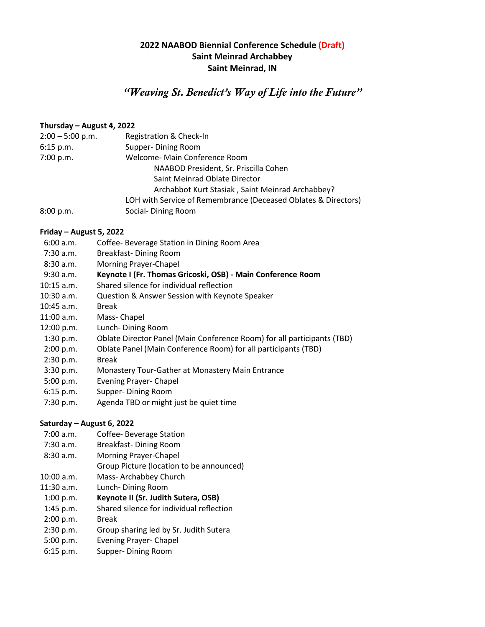### **2022 NAABOD Biennial Conference Schedule (Draft) Saint Meinrad Archabbey Saint Meinrad, IN**

## *"Weaving St. Benedict's Way of Life into the Future"*

#### **Thursday – August 4, 2022**

| $2:00 - 5:00$ p.m. | Registration & Check-In                                        |
|--------------------|----------------------------------------------------------------|
| $6:15$ p.m.        | Supper-Dining Room                                             |
| 7:00 p.m.          | Welcome- Main Conference Room                                  |
|                    | NAABOD President, Sr. Priscilla Cohen                          |
|                    | Saint Meinrad Oblate Director                                  |
|                    | Archabbot Kurt Stasiak, Saint Meinrad Archabbey?               |
|                    | LOH with Service of Remembrance (Deceased Oblates & Directors) |
| 8:00 p.m.          | Social-Dining Room                                             |

#### **Friday – August 5, 2022**

- 6:00 a.m. Coffee- Beverage Station in Dining Room Area
- 7:30 a.m. Breakfast- Dining Room
- 8:30 a.m. Morning Prayer-Chapel
- 9:30 a.m. **Keynote I (Fr. Thomas Gricoski, OSB) - Main Conference Room**
- 10:15 a.m. Shared silence for individual reflection
- 10:30 a.m. Question & Answer Session with Keynote Speaker
- 10:45 a.m. Break
- 11:00 a.m. Mass- Chapel
- 12:00 p.m. Lunch- Dining Room
- 1:30 p.m. Oblate Director Panel (Main Conference Room) for all participants (TBD)
- 2:00 p.m. Oblate Panel (Main Conference Room) for all participants (TBD)
- 2:30 p.m. Break
- 3:30 p.m. Monastery Tour-Gather at Monastery Main Entrance
- 5:00 p.m. Evening Prayer- Chapel
- 6:15 p.m. Supper- Dining Room
- 7:30 p.m. Agenda TBD or might just be quiet time

#### **Saturday – August 6, 2022**

- 7:00 a.m. Coffee- Beverage Station
- 7:30 a.m. Breakfast- Dining Room
- 8:30 a.m. Morning Prayer-Chapel
- Group Picture (location to be announced)
- 10:00 a.m. Mass- Archabbey Church
- 11:30 a.m. Lunch- Dining Room
- 1:00 p.m. **Keynote II (Sr. Judith Sutera, OSB)**
- 1:45 p.m. Shared silence for individual reflection
- 2:00 p.m. Break
- 2:30 p.m. Group sharing led by Sr. Judith Sutera
- 5:00 p.m. Evening Prayer- Chapel
- 6:15 p.m. Supper- Dining Room